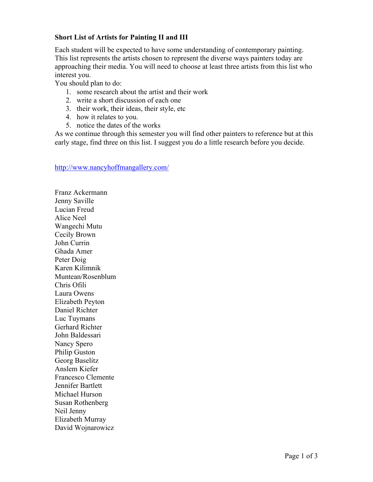## **Short List of Artists for Painting II and III**

Each student will be expected to have some understanding of contemporary painting. This list represents the artists chosen to represent the diverse ways painters today are approaching their media. You will need to choose at least three artists from this list who interest you.

You should plan to do:

- 1. some research about the artist and their work
- 2. write a short discussion of each one
- 3. their work, their ideas, their style, etc
- 4. how it relates to you.
- 5. notice the dates of the works

As we continue through this semester you will find other painters to reference but at this early stage, find three on this list. I suggest you do a little research before you decide.

## http://www.nancyhoffmangallery.com/

Franz Ackermann Jenny Saville Lucian Freud Alice Neel Wangechi Mutu Cecily Brown John Currin Ghada Amer Peter Doig Karen Kilimnik Muntean/Rosenblum Chris Ofili Laura Owens Elizabeth Peyton Daniel Richter Luc Tuymans Gerhard Richter John Baldessari Nancy Spero Philip Guston Georg Baselitz Anslem Kiefer Francesco Clemente Jennifer Bartlett Michael Hurson Susan Rothenberg Neil Jenny Elizabeth Murray David Wojnarowicz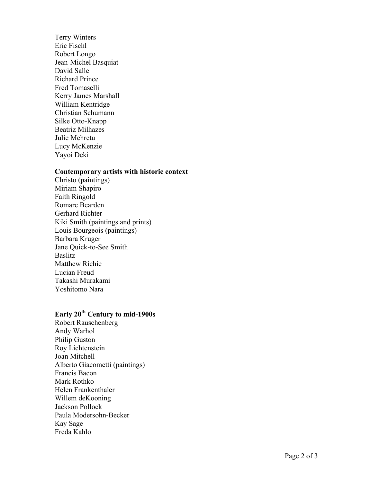Terry Winters Eric Fischl Robert Longo Jean -Michel Basquiat David Salle Richard Prince Fred Tomaselli Kerry James Marshall William Kentridge Christian Schumann Silke Otto -Knapp Beatriz Milhazes Julie Mehretu Lucy McKenzie Yayoi Deki

## **Contemporary artists with historic context**

Christo (paintings) Miriam Shapiro Faith Ringold Romare Bearden Gerhard Richter Kiki Smith (paintings and prints) Louis Bourgeois (paintings) Barbara Kruger Jane Quick -to -See Smith Baslitz Matthew Richie Lucian Freud Takashi Murakami Yoshitomo Nara

## **Early 20th Century to mid -1900s**

Robert Rauschenberg Andy Warhol Philip Guston Roy Lichtenstein Joan Mitchell Alberto Giacometti (paintings) Francis Bacon Mark Rothko Helen Frankenthaler Willem deKooning Jackson Pollock Paula Modersohn -Becker Kay Sage Freda Kahlo